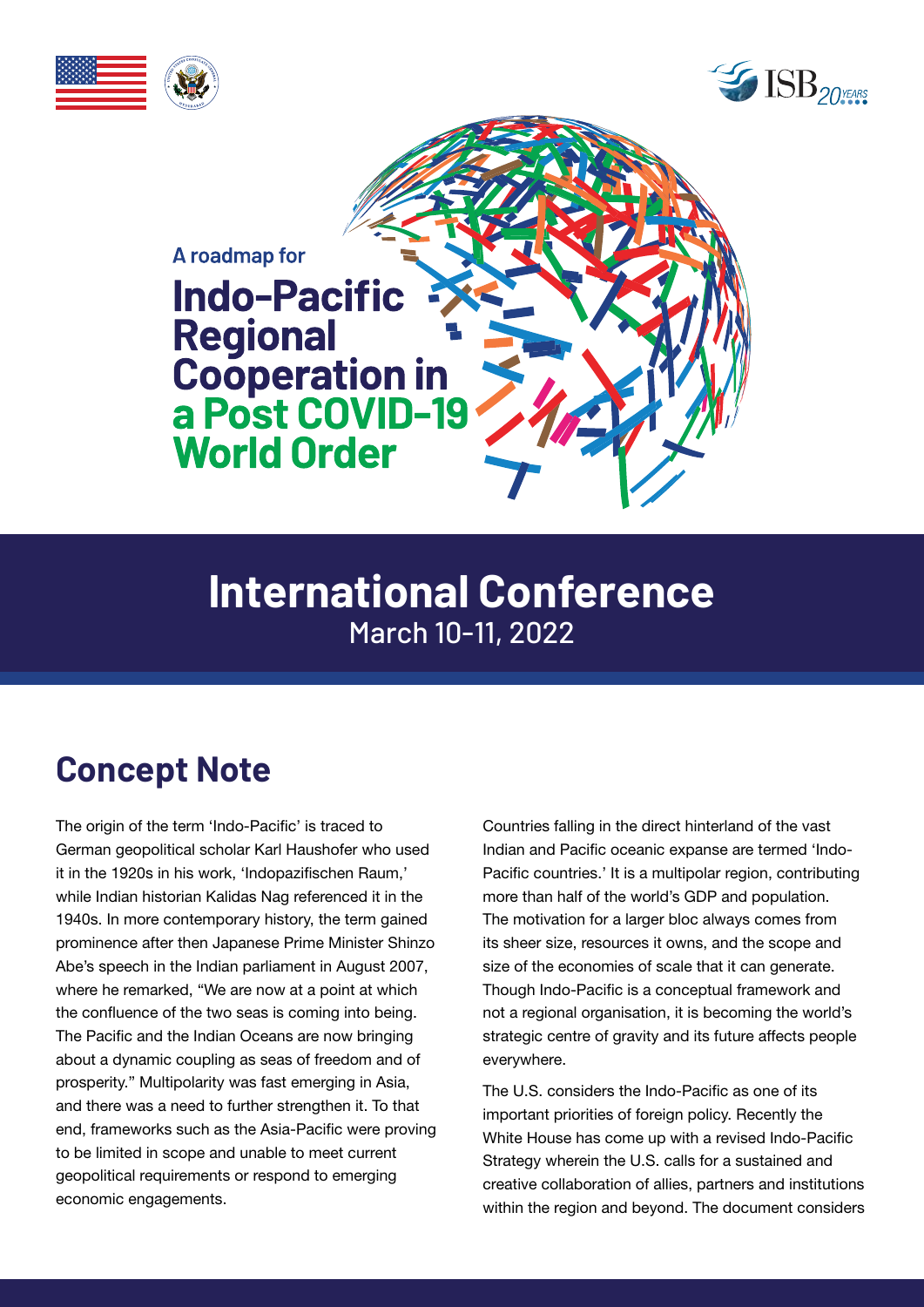





# **International Conference** March 10-11, 2022

# **Concept Note**

The origin of the term 'Indo-Pacific' is traced to German geopolitical scholar Karl Haushofer who used it in the 1920s in his work, 'Indopazifischen Raum,' while Indian historian Kalidas Nag referenced it in the 1940s. In more contemporary history, the term gained prominence after then Japanese Prime Minister Shinzo Abe's speech in the Indian parliament in August 2007, where he remarked, "We are now at a point at which the confluence of the two seas is coming into being. The Pacific and the Indian Oceans are now bringing about a dynamic coupling as seas of freedom and of prosperity." Multipolarity was fast emerging in Asia, and there was a need to further strengthen it. To that end, frameworks such as the Asia-Pacific were proving to be limited in scope and unable to meet current geopolitical requirements or respond to emerging economic engagements.

Countries falling in the direct hinterland of the vast Indian and Pacific oceanic expanse are termed 'Indo-Pacific countries.' It is a multipolar region, contributing more than half of the world's GDP and population. The motivation for a larger bloc always comes from its sheer size, resources it owns, and the scope and size of the economies of scale that it can generate. Though Indo-Pacific is a conceptual framework and not a regional organisation, it is becoming the world's strategic centre of gravity and its future affects people everywhere.

The U.S. considers the Indo-Pacific as one of its important priorities of foreign policy. Recently the White House has come up with a revised Indo-Pacific Strategy wherein the U.S. calls for a sustained and creative collaboration of allies, partners and institutions within the region and beyond. The document considers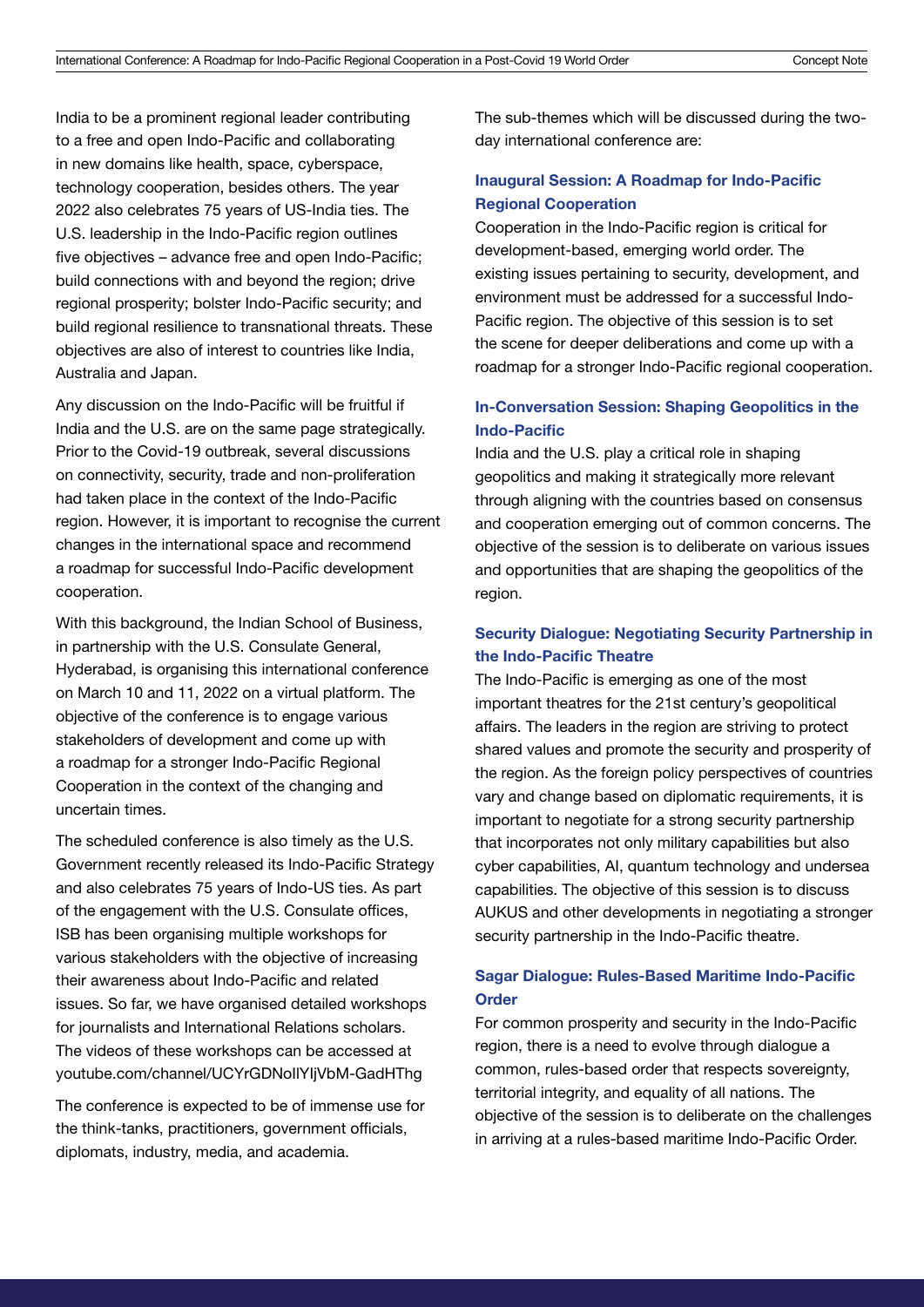India to be a prominent regional leader contributing to a free and open Indo-Pacific and collaborating in new domains like health, space, cyberspace, technology cooperation, besides others. The year 2022 also celebrates 75 years of US-India ties. The U.S. leadership in the Indo-Pacific region outlines five objectives – advance free and open Indo-Pacific; build connections with and beyond the region; drive regional prosperity; bolster Indo-Pacific security; and build regional resilience to transnational threats. These objectives are also of interest to countries like India, Australia and Japan.

Any discussion on the Indo-Pacific will be fruitful if India and the U.S. are on the same page strategically. Prior to the Covid-19 outbreak, several discussions on connectivity, security, trade and non-proliferation had taken place in the context of the Indo-Pacific region. However, it is important to recognise the current changes in the international space and recommend a roadmap for successful Indo-Pacific development cooperation.

With this background, the Indian School of Business, in partnership with the U.S. Consulate General, Hyderabad, is organising this international conference on March 10 and 11, 2022 on a virtual platform. The objective of the conference is to engage various stakeholders of development and come up with a roadmap for a stronger Indo-Pacific Regional Cooperation in the context of the changing and uncertain times.

The scheduled conference is also timely as the U.S. Government recently released its Indo-Pacific Strategy and also celebrates 75 years of Indo-US ties. As part of the engagement with the U.S. Consulate offices, ISB has been organising multiple workshops for various stakeholders with the objective of increasing their awareness about Indo-Pacific and related issues. So far, we have organised detailed workshops for journalists and International Relations scholars. The videos of these workshops can be accessed at [youtube.com/channel/UCYrGDNoIlYIjVbM-GadHThg](http://youtube.com/channel/UCYrGDNoIlYIjVbM-GadHThg
)

The conference is expected to be of immense use for the think-tanks, practitioners, government officials, diplomats, industry, media, and academia.

The sub-themes which will be discussed during the twoday international conference are:

#### Inaugural Session: A Roadmap for Indo-Pacific Regional Cooperation

Cooperation in the Indo-Pacific region is critical for development-based, emerging world order. The existing issues pertaining to security, development, and environment must be addressed for a successful Indo-Pacific region. The objective of this session is to set the scene for deeper deliberations and come up with a roadmap for a stronger Indo-Pacific regional cooperation.

#### In-Conversation Session: Shaping Geopolitics in the Indo-Pacific

India and the U.S. play a critical role in shaping geopolitics and making it strategically more relevant through aligning with the countries based on consensus and cooperation emerging out of common concerns. The objective of the session is to deliberate on various issues and opportunities that are shaping the geopolitics of the region.

#### Security Dialogue: Negotiating Security Partnership in the Indo-Pacific Theatre

The Indo-Pacific is emerging as one of the most important theatres for the 21st century's geopolitical affairs. The leaders in the region are striving to protect shared values and promote the security and prosperity of the region. As the foreign policy perspectives of countries vary and change based on diplomatic requirements, it is important to negotiate for a strong security partnership that incorporates not only military capabilities but also cyber capabilities, AI, quantum technology and undersea capabilities. The objective of this session is to discuss AUKUS and other developments in negotiating a stronger security partnership in the Indo-Pacific theatre.

#### Sagar Dialogue: Rules-Based Maritime Indo-Pacific **Order**

For common prosperity and security in the Indo-Pacific region, there is a need to evolve through dialogue a common, rules-based order that respects sovereignty, territorial integrity, and equality of all nations. The objective of the session is to deliberate on the challenges in arriving at a rules-based maritime Indo-Pacific Order.